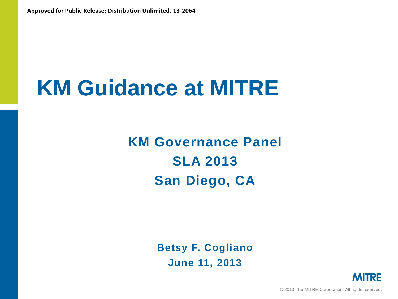# **KM Guidance at MITRE**

**KM Governance Panel SLA 2013 San Diego, CA**

> **Betsy F. Cogliano June 11, 2013**



© 2013 The MITRE Corporation. All rights reserved.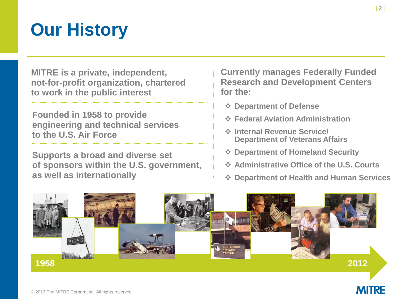### **Our History**

**MITRE is a private, independent, not-for-profit organization, chartered to work in the public interest**

**Founded in 1958 to provide engineering and technical services to the U.S. Air Force**

**Supports a broad and diverse set of sponsors within the U.S. government, as well as internationally**

**Currently manages Federally Funded Research and Development Centers for the:**

- **Department of Defense**
- **Federal Aviation Administration**
- **Internal Revenue Service/ Department of Veterans Affairs**
- **Department of Homeland Security**
- **Administrative Office of the U.S. Courts**
- **Department of Health and Human Services**



**MITRE**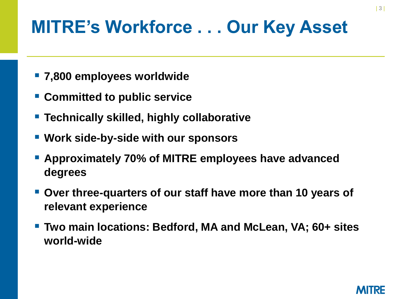#### **MITRE's Workforce . . . Our Key Asset**

- **7,800 employees worldwide**
- **Committed to public service**
- **Technically skilled, highly collaborative**
- **Work side-by-side with our sponsors**
- **Approximately 70% of MITRE employees have advanced degrees**
- **Over three-quarters of our staff have more than 10 years of relevant experience**
- **Two main locations: Bedford, MA and McLean, VA; 60+ sites world-wide**

| 3 |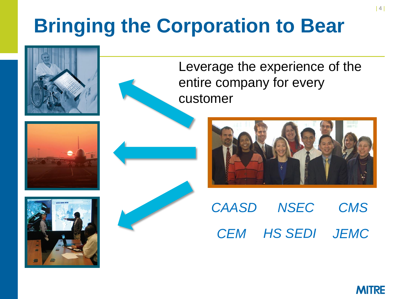## **Bringing the Corporation to Bear**



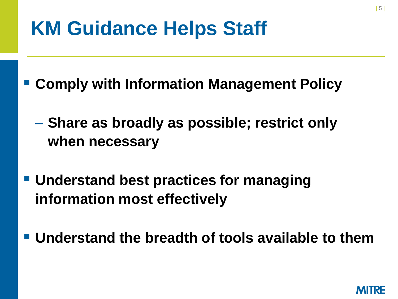## **KM Guidance Helps Staff**

**Comply with Information Management Policy**

- **Share as broadly as possible; restrict only when necessary**
- **Understand best practices for managing information most effectively**
- **Understand the breadth of tools available to them**

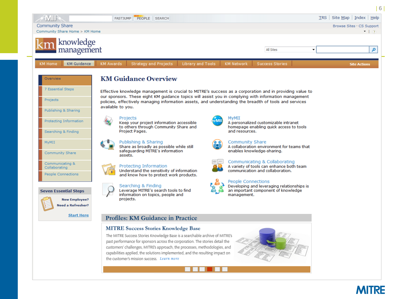

| 6 |